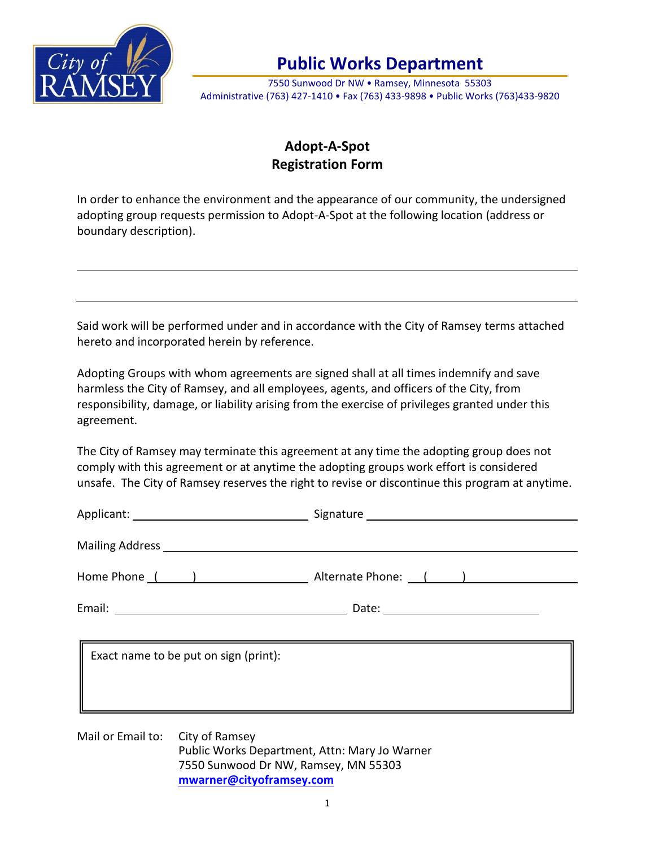

## **Public Works Department**

7550 Sunwood Dr NW • Ramsey, Minnesota 55303 Administrative (763) 427-1410 • Fax (763) 433-9898 • Public Works (763)433-9820

## **Adopt-A-Spot Registration Form**

In order to enhance the environment and the appearance of our community, the undersigned adopting group requests permission to Adopt-A-Spot at the following location (address or boundary description).

Said work will be performed under and in accordance with the City of Ramsey terms attached hereto and incorporated herein by reference.

Adopting Groups with whom agreements are signed shall at all times indemnify and save harmless the City of Ramsey, and all employees, agents, and officers of the City, from responsibility, damage, or liability arising from the exercise of privileges granted under this agreement.

The City of Ramsey may terminate this agreement at any time the adopting group does not comply with this agreement or at anytime the adopting groups work effort is considered unsafe. The City of Ramsey reserves the right to revise or discontinue this program at anytime.

|                                  |                                       | Home Phone ( ) Alternate Phone: ( )           |  |
|----------------------------------|---------------------------------------|-----------------------------------------------|--|
|                                  |                                       |                                               |  |
|                                  | Exact name to be put on sign (print): |                                               |  |
| Mail or Email to: City of Ramsey | 7550 Sunwood Dr NW, Ramsey, MN 55303  | Public Works Department, Attn: Mary Jo Warner |  |

**[mwarner@cityoframsey.com](mailto:mwarner@cityoframsey.com)**